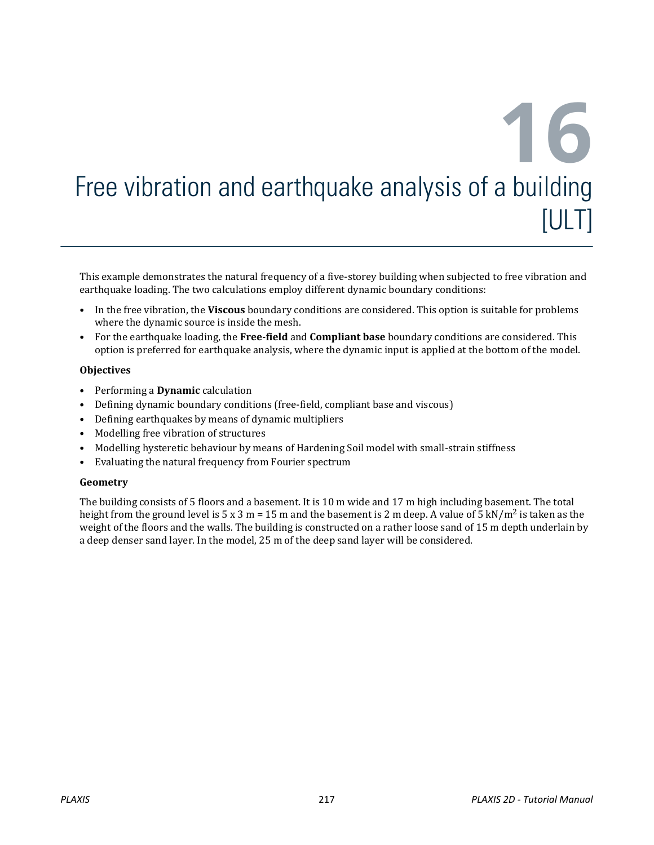# **16** Free vibration and earthquake analysis of a building [ULT]

This example demonstrates the natural frequency of a five-storey building when subjected to free vibration and earthquake loading. The two calculations employ different dynamic boundary conditions:

- In the free vibration, the **Viscous** boundary conditions are considered. This option is suitable for problems where the dynamic source is inside the mesh.
- For the earthquake loading, the **Free-field** and **Compliant base** boundary conditions are considered. This option is preferred for earthquake analysis, where the dynamic input is applied at the bottom of the model.

#### **Objectives**

- Performing a **Dynamic** calculation
- Defining dynamic boundary conditions (free-field, compliant base and viscous)
- Defining earthquakes by means of dynamic multipliers
- Modelling free vibration of structures
- Modelling hysteretic behaviour by means of Hardening Soil model with small-strain stiffness
- Evaluating the natural frequency from Fourier spectrum

#### **Geometry**

The building consists of 5 floors and a basement. It is 10 m wide and 17 m high including basement. The total height from the ground level is 5 x 3 m = 15 m and the basement is 2 m deep. A value of 5 kN/m<sup>2</sup> is taken as the weight of the floors and the walls. The building is constructed on a rather loose sand of 15 m depth underlain by a deep denser sand layer. In the model, 25 m of the deep sand layer will be considered.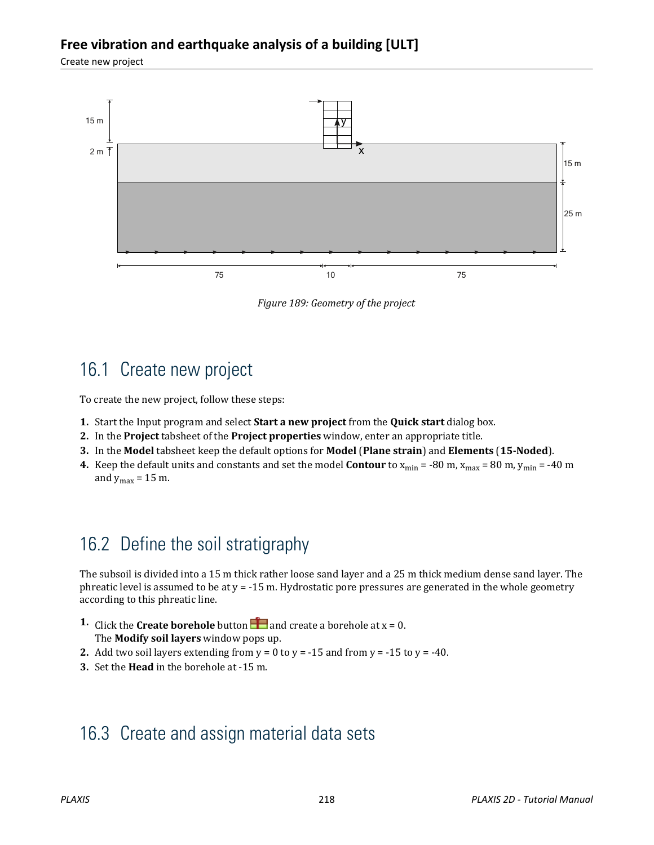### **Free vibration and earthquake analysis of a building [ULT]**

Create new project



*Figure 189: Geometry of the project*

# 16.1 Create new project

To create the new project, follow these steps:

- **1.** Start the Input program and select **Start a new project** from the **Quick start** dialog box.
- **2.** In the **Project** tabsheet of the **Project properties** window, enter an appropriate title.
- **3.** In the **Model** tabsheet keep the default options for **Model** (**Plane strain**) and **Elements** (**15-Noded**).
- **4.** Keep the default units and constants and set the model **Contour** to  $x_{min} = -80$  m,  $x_{max} = 80$  m,  $y_{min} = -40$  m and  $y_{max} = 15$  m.

# 16.2 Define the soil stratigraphy

The subsoil is divided into a 15 m thick rather loose sand layer and a 25 m thick medium dense sand layer. The phreatic level is assumed to be at  $y = -15$  m. Hydrostatic pore pressures are generated in the whole geometry according to this phreatic line.

- **1.** Click the **Create borehole** button **a** and create a borehole at  $x = 0$ . The **Modify soil layers** window pops up.
- **2.** Add two soil layers extending from  $y = 0$  to  $y = -15$  and from  $y = -15$  to  $y = -40$ .
- **3.** Set the **Head** in the borehole at -15 m.

# 16.3 Create and assign material data sets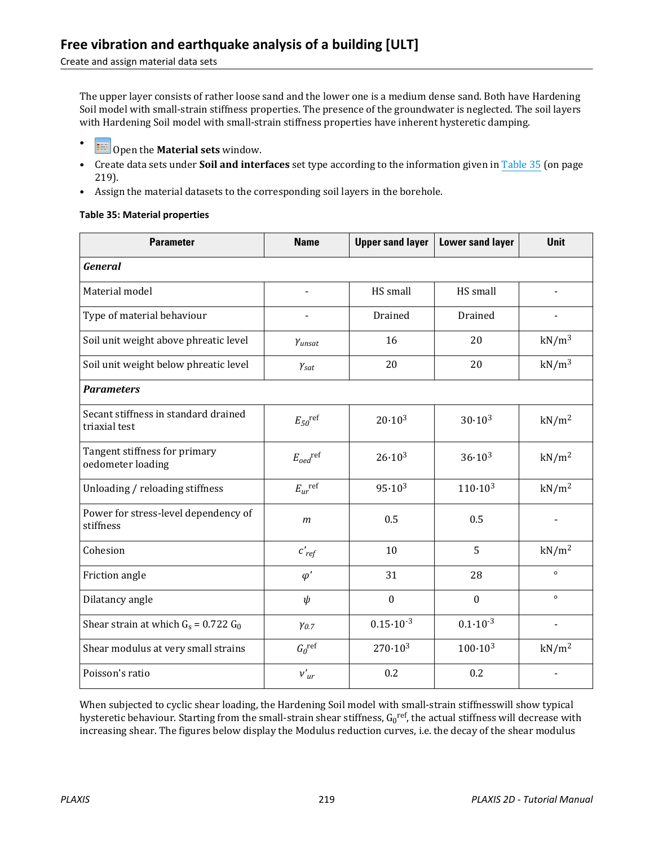#### Create and assign material data sets

The upper layer consists of rather loose sand and the lower one is a medium dense sand. Both have Hardening Soil model with small-strain stiffness properties. The presence of the groundwater is neglected. The soil layers with Hardening Soil model with small-strain stiffness properties have inherent hysteretic damping.

- Open the **Material sets** window.
- Create data sets under **Soil and interfaces** set type according to the information given in Table 35 (on page 219).
- Assign the material datasets to the corresponding soil layers in the borehole.

#### **Table 35: Material properties**

| <b>Parameter</b>                                      | <b>Name</b>                   | <b>Upper sand layer</b> | <b>Lower sand layer</b> | <b>Unit</b>       |
|-------------------------------------------------------|-------------------------------|-------------------------|-------------------------|-------------------|
| <b>General</b>                                        |                               |                         |                         |                   |
| Material model                                        |                               | HS small                | HS small                |                   |
| Type of material behaviour                            |                               | Drained                 | Drained                 |                   |
| Soil unit weight above phreatic level                 | Yunsat                        | 16                      | 20                      | $kN/m^3$          |
| Soil unit weight below phreatic level                 | $\gamma_{\text{sat}}$         | 20                      | 20                      | $kN/m^3$          |
| <b>Parameters</b>                                     |                               |                         |                         |                   |
| Secant stiffness in standard drained<br>triaxial test | $E_{50}$ <sup>ref</sup>       | $20.10^{3}$             | $30.10^{3}$             | kN/m <sup>2</sup> |
| Tangent stiffness for primary<br>oedometer loading    | $E_{\text{oed}}^{\text{ref}}$ | $26.10^{3}$             | $36.10^{3}$             | kN/m <sup>2</sup> |
| Unloading / reloading stiffness                       | $E_{ur}$ ref                  | $95.10^{3}$             | $110 \cdot 10^{3}$      | kN/m <sup>2</sup> |
| Power for stress-level dependency of<br>stiffness     | $\mathfrak{m}$                | 0.5                     | 0.5                     |                   |
| Cohesion                                              | $c'_{ref}$                    | 10                      | 5                       | kN/m <sup>2</sup> |
| Friction angle                                        | $\varphi'$                    | 31                      | 28                      | $\circ$           |
| Dilatancy angle                                       | $\psi$                        | $\mathbf{0}$            | $\mathbf{0}$            | $\circ$           |
| Shear strain at which $G_s$ = 0.722 $G_0$             | $Y_{0.7}$                     | $0.15 \cdot 10^{-3}$    | $0.1 \cdot 10^{-3}$     | $\blacksquare$    |
| Shear modulus at very small strains                   | $G_0^{\text{ref}}$            | $270 \cdot 10^{3}$      | $100 \cdot 10^{3}$      | kN/m <sup>2</sup> |
| Poisson's ratio                                       | $v'_{ur}$                     | 0.2                     | 0.2                     |                   |

When subjected to cyclic shear loading, the Hardening Soil model with small-strain stiffnesswill show typical hysteretic behaviour. Starting from the small-strain shear stiffness, G<sub>0</sub>r<sup>ef</sup>, the actual stiffness will decrease with increasing shear. The figures below display the Modulus reduction curves, i.e. the decay of the shear modulus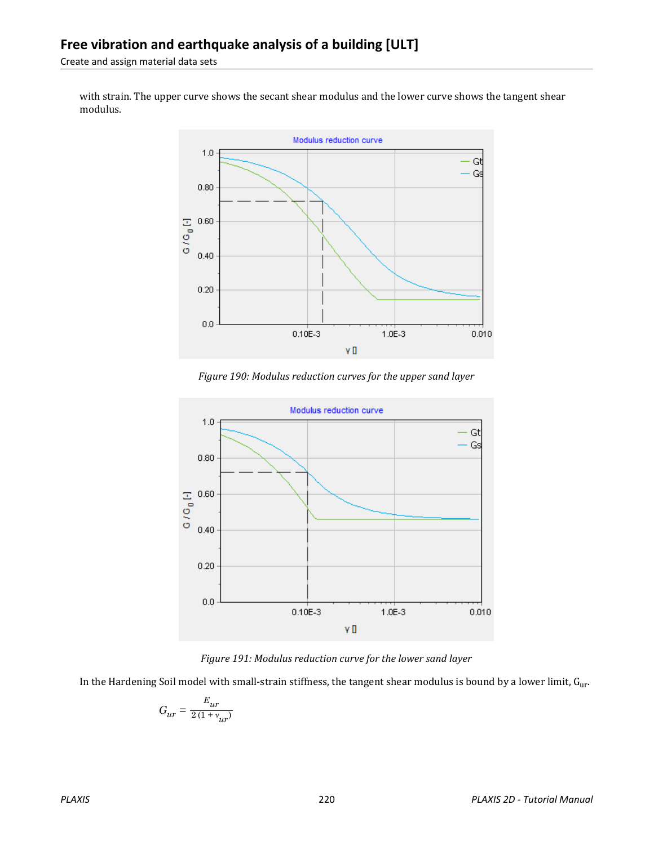Create and assign material data sets

with strain. The upper curve shows the secant shear modulus and the lower curve shows the tangent shear modulus.



*Figure 190: Modulus reduction curves for the upper sand layer*



*Figure 191: Modulus reduction curve for the lower sand layer*

In the Hardening Soil model with small-strain stiffness, the tangent shear modulus is bound by a lower limit,  $G_{ur}$ .

$$
G_{ur}=\frac{E_{ur}}{2\left(1+\textit{v}_{ur}\right)}
$$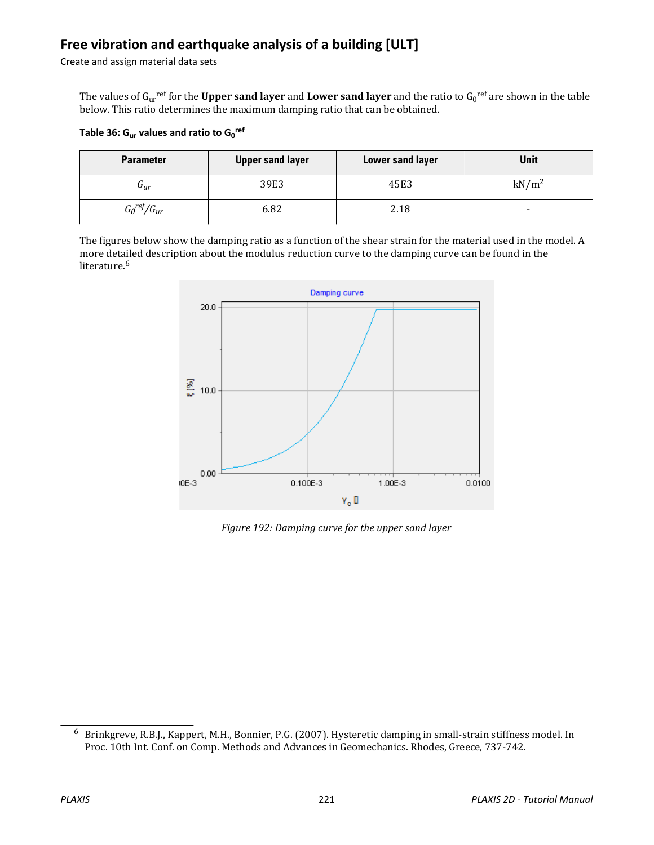The values of G<sub>ur</sub><sup>ref</sup> for the **Upper sand layer** and **Lower sand layer** and the ratio to G<sub>0</sub><sup>ref</sup> are shown in the table below. This ratio determines the maximum damping ratio that can be obtained.

| Table 36: $G_{\text{ur}}$ values and ratio to $G_0^{\text{ref}}$ |  |  |  |  |  |  |
|------------------------------------------------------------------|--|--|--|--|--|--|
|------------------------------------------------------------------|--|--|--|--|--|--|

| <b>Parameter</b>     | <b>Upper sand layer</b> | <b>Lower sand layer</b> | <b>Unit</b>       |
|----------------------|-------------------------|-------------------------|-------------------|
| $\mathbf{u}_{ur}$    | 39E3                    | 45E3                    | kN/m <sup>2</sup> |
| $G_0{}^{ref}/G_{ur}$ | 6.82                    | 2.18                    | ۰.                |

The figures below show the damping ratio as a function of the shear strain for the material used in the model. A 0.1 more detailed description about the modulus reduction curve to the damping curve can be found in the literature.<sup>6</sup>  $\overline{e}$ 



*Figure 192: Damping curve for the upper sand layer*

<sup>6</sup> Brinkgreve, R.B.J., Kappert, M.H., Bonnier, P.G. (2007). Hysteretic damping in small-strain stiffness model. In Proc. 10th Int. Conf. on Comp. Methods and Advances in Geomechanics. Rhodes, Greece, 737-742.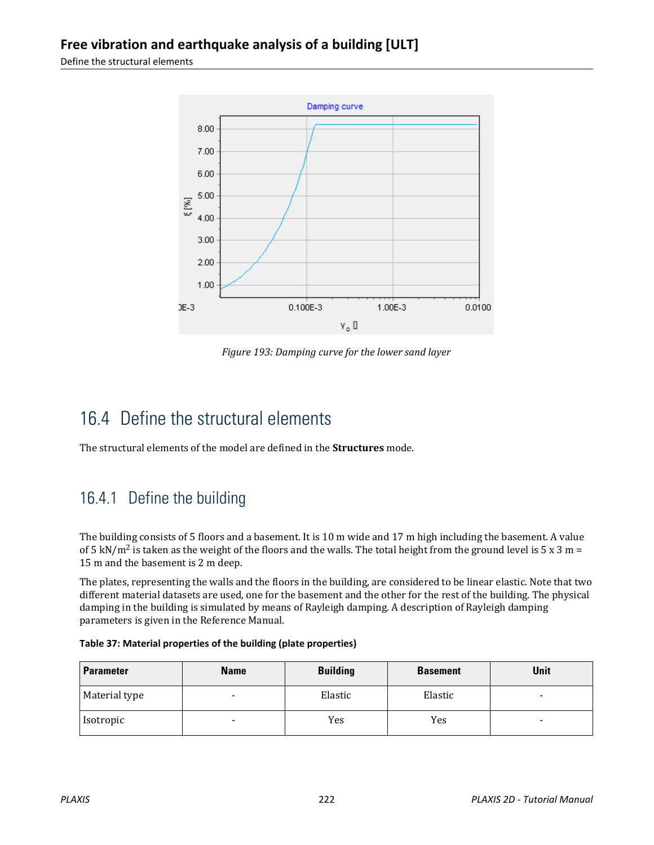Define the structural elements



*Figure 193: Damping curve for the lower sand layer*

# 16.4 Define the structural elements

The structural elements of the model are defined in the **Structures** mode.

# 16.4.1 Define the building

The building consists of 5 floors and a basement. It is 10 m wide and 17 m high including the basement. A value of 5 kN/m<sup>2</sup> is taken as the weight of the floors and the walls. The total height from the ground level is 5 x 3 m = 15 m and the basement is 2 m deep.

The plates, representing the walls and the floors in the building, are considered to be linear elastic. Note that two different material datasets are used, one for the basement and the other for the rest of the building. The physical damping in the building is simulated by means of Rayleigh damping. A description of Rayleigh damping parameters is given in the Reference Manual.

| Table 37: Material properties of the building (plate properties) |  |  |  |
|------------------------------------------------------------------|--|--|--|
|------------------------------------------------------------------|--|--|--|

| <b>Parameter</b> | <b>Name</b>              | <b>Building</b> | <b>Basement</b> | <b>Unit</b> |
|------------------|--------------------------|-----------------|-----------------|-------------|
| Material type    |                          | Elastic         | Elastic         |             |
| Isotropic        | $\overline{\phantom{a}}$ | Yes             | Yes             |             |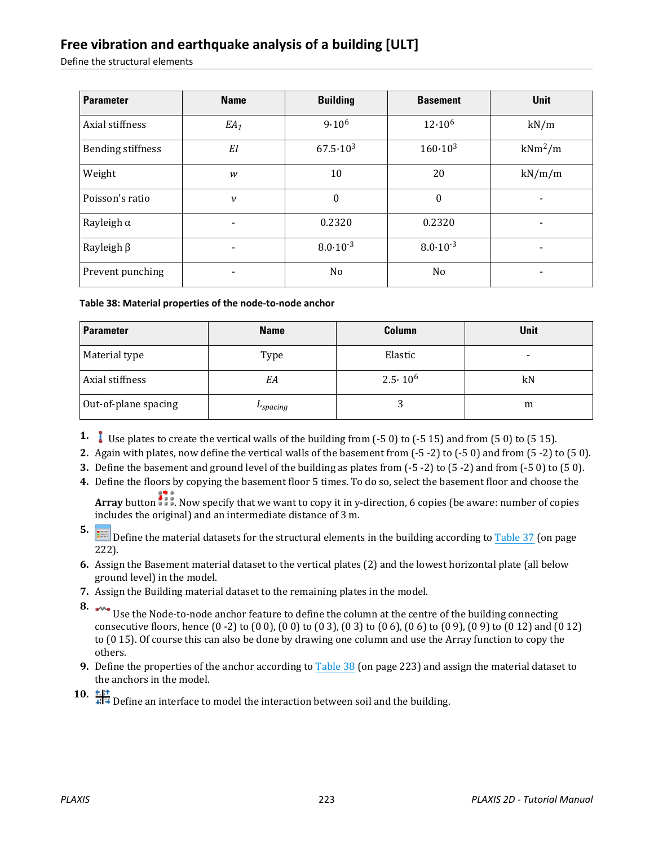### **Free vibration and earthquake analysis of a building [ULT]**

Define the structural elements

| <b>Parameter</b>         | <b>Name</b>              | <b>Building</b>     | <b>Basement</b>     | <b>Unit</b> |
|--------------------------|--------------------------|---------------------|---------------------|-------------|
| Axial stiffness          | $EA_1$                   | $9.10^{6}$          | $12.10^{6}$         | kN/m        |
| <b>Bending stiffness</b> | EI                       | $67.5 \cdot 10^{3}$ | $160 \cdot 10^{3}$  | $kNm^2/m$   |
| Weight                   | W                        | 10                  | 20                  | kN/m/m      |
| Poisson's ratio          | $\mathcal V$             | $\mathbf{0}$        | $\boldsymbol{0}$    |             |
| Rayleigh $\alpha$        |                          | 0.2320              | 0.2320              |             |
| Rayleigh $\beta$         |                          | $8.0 \cdot 10^{-3}$ | $8.0 \cdot 10^{-3}$ |             |
| Prevent punching         | $\overline{\phantom{0}}$ | No                  | N <sub>0</sub>      |             |

**Table 38: Material properties of the node-to-node anchor**

| <b>Parameter</b>     | <b>Name</b>   | <b>Column</b>    | <b>Unit</b> |
|----------------------|---------------|------------------|-------------|
| Material type        | Type          | Elastic          | $\,$        |
| Axial stiffness      | EA            | $2.5 \cdot 10^6$ | kN          |
| Out-of-plane spacing | $L_{spacing}$ |                  | m           |

- **1.** Use plates to create the vertical walls of the building from (-5 0) to (-5 15) and from (5 0) to (5 15).
- **2.** Again with plates, now define the vertical walls of the basement from (-5 -2) to (-5 0) and from (5 -2) to (5 0).
- **3.** Define the basement and ground level of the building as plates from (-5 -2) to (5 -2) and from (-5 0) to (5 0).
- **4.** Define the floors by copying the basement floor 5 times. To do so, select the basement floor and choose the

**Array** button **.** Now specify that we want to copy it in y-direction, 6 copies (be aware: number of copies includes the original) and an intermediate distance of 3 m.

- **5.** Define the material datasets for the structural elements in the building according to Table 37 (on page 222).
- **6.** Assign the Basement material dataset to the vertical plates (2) and the lowest horizontal plate (all below ground level) in the model.
- **7.** Assign the Building material dataset to the remaining plates in the model.
- 
- **8.** Use the Node-to-node anchor feature to define the column at the centre of the building connecting consecutive floors, hence (0 -2) to (0 0), (0 0) to (0 3), (0 3) to (0 6), (0 6) to (0 9), (0 9) to (0 12) and (0 12) to (0 15). Of course this can also be done by drawing one column and use the Array function to copy the others.
- **9.** Define the properties of the anchor according to Table 38 (on page 223) and assign the material dataset to the anchors in the model.

10.  $\frac{16!}{4!}$  Define an interface to model the interaction between soil and the building.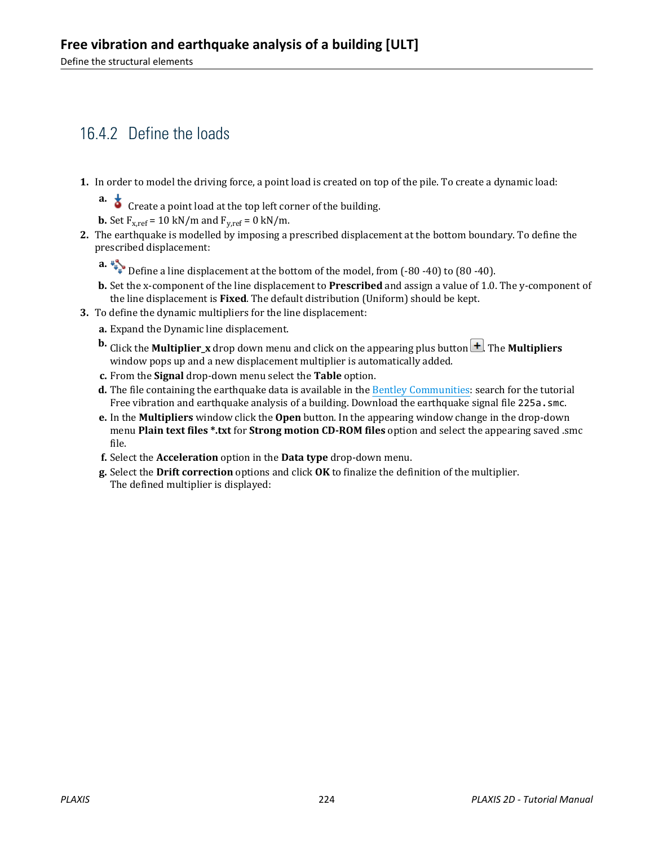# 16.4.2 Define the loads

- **1.** In order to model the driving force, a point load is created on top of the pile. To create a dynamic load:
	- **a.**  $\overrightarrow{S}$  Create a point load at the top left corner of the building.

**b.** Set  $F_{x,ref} = 10 \text{ kN/m}$  and  $F_{y,ref} = 0 \text{ kN/m}$ .

- **2.** The earthquake is modelled by imposing a prescribed displacement at the bottom boundary. To define the prescribed displacement:
	-
	- **a.**  $\downarrow\downarrow\downarrow\downarrow$  Define a line displacement at the bottom of the model, from (-80 -40) to (80 -40).
	- **b.** Set the x-component of the line displacement to **Prescribed** and assign a value of 1.0. The y-component of the line displacement is **Fixed**. The default distribution (Uniform) should be kept.
- **3.** To define the dynamic multipliers for the line displacement:
	- **a.** Expand the Dynamic line displacement.
	- **b.** Click the **Multiplier\_x** drop down menu and click on the appearing plus button  $\Box$ . The **Multipliers** window pops up and a new displacement multiplier is automatically added.
	- **c.** From the **Signal** drop-down menu select the **Table** option.
	- **d.** The file containing the earthquake data is available in the [Bentley Communities](https://communities.bentley.com/products/geotech-analysis/w/plaxis-soilvision-wiki/45568/plaxis-2d-tutorial-16-free-vibration-and-earthquake-analysis-of-a-building): search for the tutorial Free vibration and earthquake analysis of a building. Download the earthquake signal file 225a. smc.
	- **e.** In the **Multipliers** window click the **Open** button. In the appearing window change in the drop-down menu **Plain text files \*.txt** for **Strong motion CD-ROM files** option and select the appearing saved .smc file.
	- **f.** Select the **Acceleration** option in the **Data type** drop-down menu.
	- **g.** Select the **Drift correction** options and click **OK** to finalize the definition of the multiplier. The defined multiplier is displayed: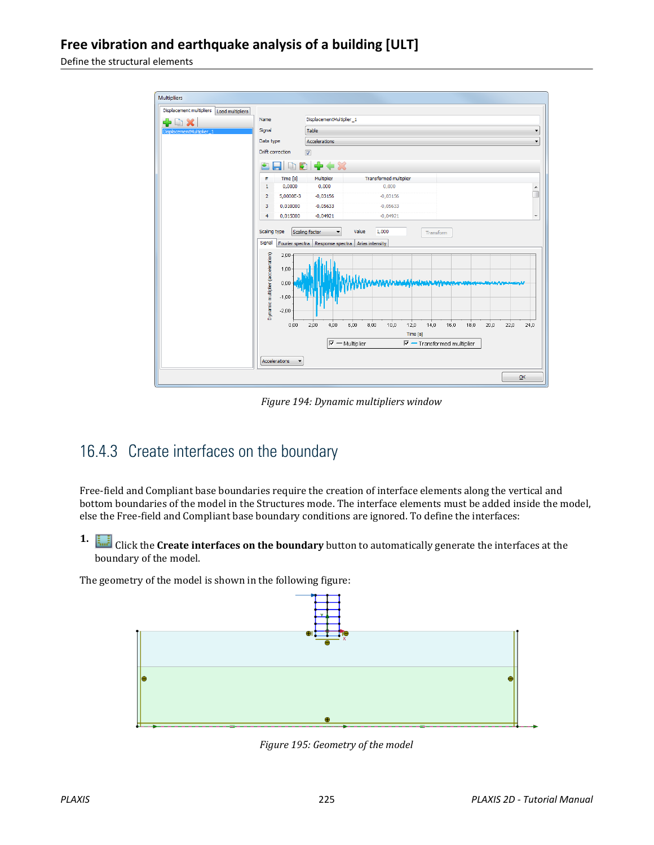Define the structural elements



*Figure 194: Dynamic multipliers window*

# 16.4.3 Create interfaces on the boundary

Free-field and Compliant base boundaries require the creation of interface elements along the vertical and bottom boundaries of the model in the Structures mode. The interface elements must be added inside the model, else the Free-field and Compliant base boundary conditions are ignored. To define the interfaces:

**1.** Click the **Create interfaces on the boundary** button to automatically generate the interfaces at the boundary of the model.

The geometry of the model is shown in the following figure:



*Figure 195: Geometry of the model*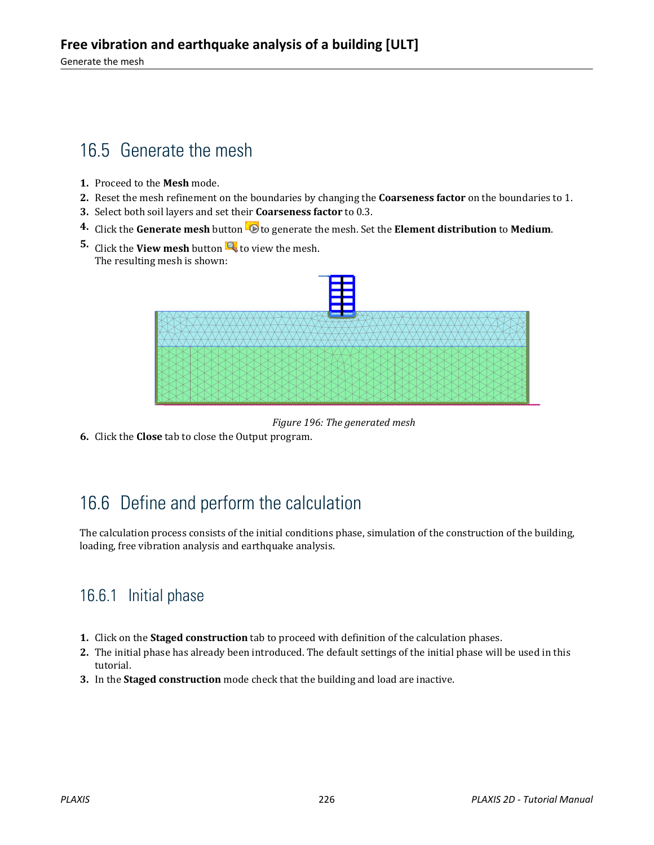# 16.5 Generate the mesh

- **1.** Proceed to the **Mesh** mode.
- **2.** Reset the mesh refinement on the boundaries by changing the **Coarseness factor** on the boundaries to 1.
- **3.** Select both soil layers and set their **Coarseness factor** to 0.3.
- **4.** Click the Generate mesh button  $\ddot{\bullet}$  to generate the mesh. Set the Element distribution to Medium.
- **5.** Click the **View mesh** button **th** to view the mesh. The resulting mesh is shown:



*Figure 196: The generated mesh*

**6.** Click the **Close** tab to close the Output program.

# 16.6 Define and perform the calculation

The calculation process consists of the initial conditions phase, simulation of the construction of the building, loading, free vibration analysis and earthquake analysis.

# 16.6.1 Initial phase

- **1.** Click on the **Staged construction** tab to proceed with definition of the calculation phases.
- **2.** The initial phase has already been introduced. The default settings of the initial phase will be used in this tutorial.
- **3.** In the **Staged construction** mode check that the building and load are inactive.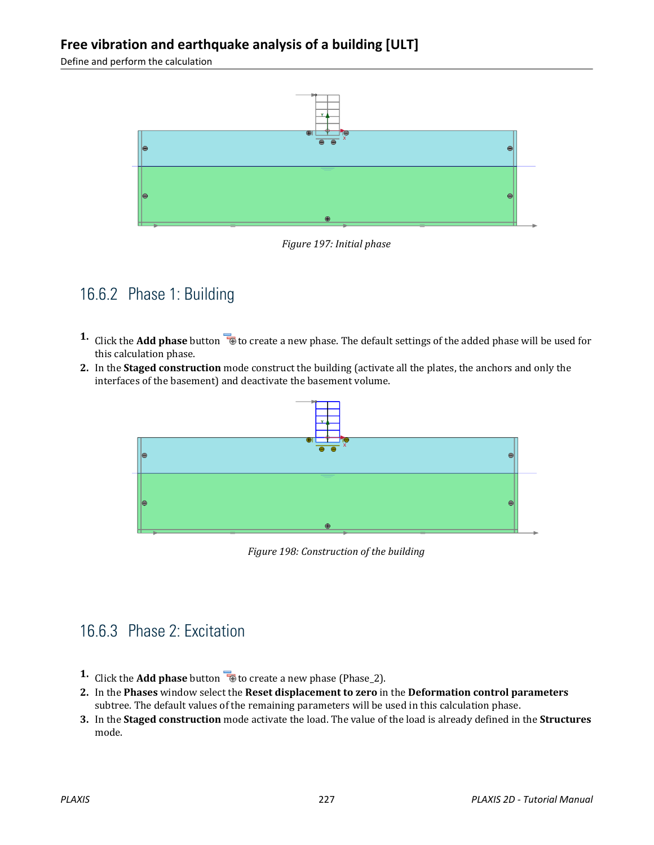### **Free vibration and earthquake analysis of a building [ULT]**

Define and perform the calculation



*Figure 197: Initial phase*

### 16.6.2 Phase 1: Building

- **1.** Click the **Add phase** button **the set of create a new phase. The default settings of the added phase will be used for** this calculation phase.
- **2.** In the **Staged construction** mode construct the building (activate all the plates, the anchors and only the interfaces of the basement) and deactivate the basement volume.



*Figure 198: Construction of the building*

### 16.6.3 Phase 2: Excitation

- **1.** Click the **Add phase** button **the create a new phase (Phase\_2).**
- **2.** In the **Phases** window select the **Reset displacement to zero** in the **Deformation control parameters** subtree. The default values of the remaining parameters will be used in this calculation phase.
- **3.** In the **Staged construction** mode activate the load. The value of the load is already defined in the **Structures** mode.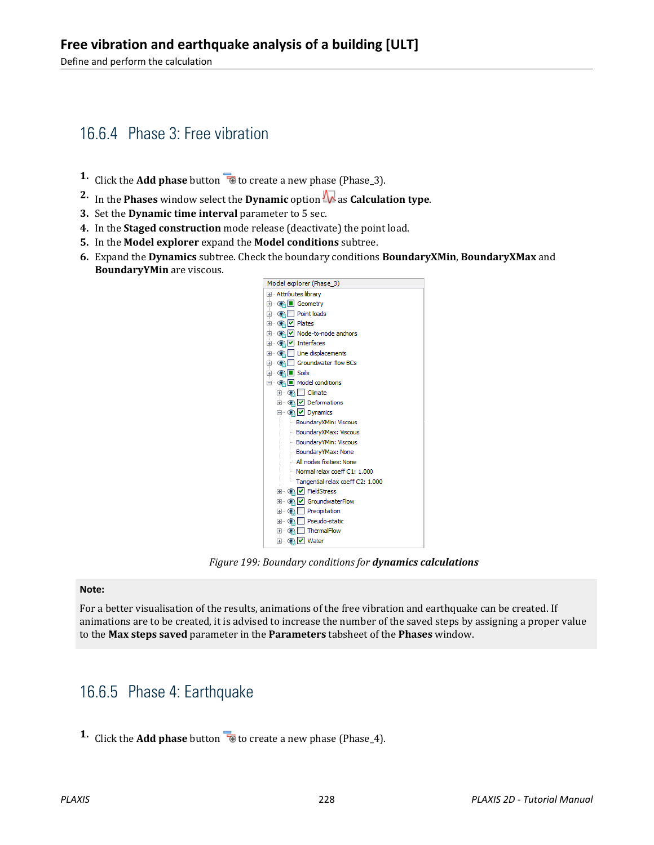# 16.6.4 Phase 3: Free vibration

- **1.** Click the **Add phase** button **the create a new phase (Phase\_3).**
- **2.** In the **Phases** window select the **Dynamic** option  $\mathbf{\mathbf{\Lambda}}$  as **Calculation type**.
- **3.** Set the **Dynamic time interval** parameter to 5 sec.
- **4.** In the **Staged construction** mode release (deactivate) the point load.
- **5.** In the **Model explorer** expand the **Model conditions** subtree.
- **6.** Expand the **Dynamics** subtree. Check the boundary conditions **BoundaryXMin**, **BoundaryXMax** and **BoundaryYMin** are viscous.



*Figure 199: Boundary conditions for dynamics calculations*

#### **Note:**

For a better visualisation of the results, animations of the free vibration and earthquake can be created. If animations are to be created, it is advised to increase the number of the saved steps by assigning a proper value to the **Max steps saved** parameter in the **Parameters** tabsheet of the **Phases** window.

# 16.6.5 Phase 4: Earthquake

**1.** Click the **Add phase** button **the set of create a new phase (Phase 4).**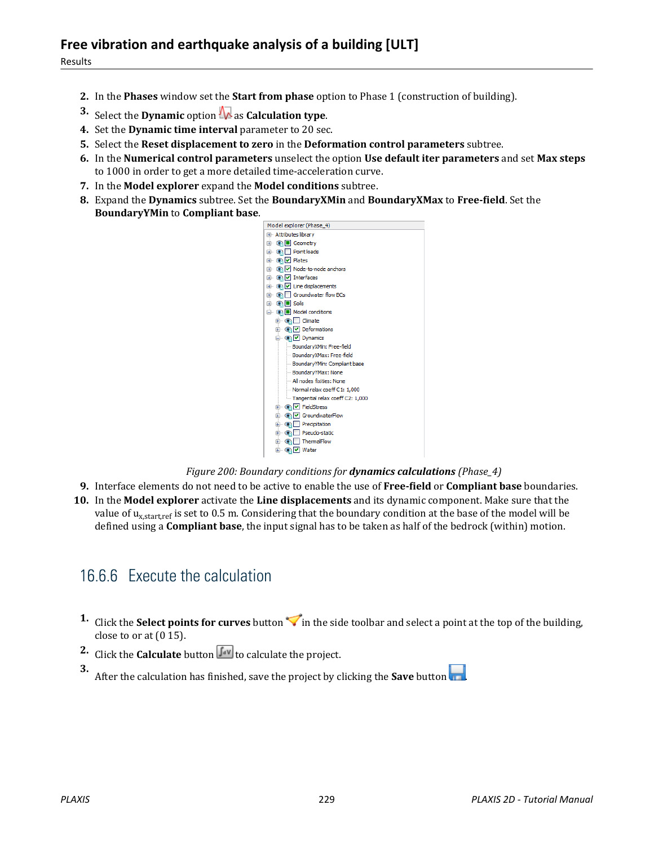- **2.** In the **Phases** window set the **Start from phase** option to Phase 1 (construction of building).
- **3.** Select the **Dynamic** option **A** as **Calculation type**.
- **4.** Set the **Dynamic time interval** parameter to 20 sec.
- **5.** Select the **Reset displacement to zero** in the **Deformation control parameters** subtree.
- **6.** In the **Numerical control parameters** unselect the option **Use default iter parameters** and set **Max steps** to 1000 in order to get a more detailed time-acceleration curve.
- **7.** In the **Model explorer** expand the **Model conditions** subtree.
- **8.** Expand the **Dynamics** subtree. Set the **BoundaryXMin** and **BoundaryXMax** to **Free-field**. Set the **BoundaryYMin** to **Compliant base**.



#### *Figure 200: Boundary conditions for dynamics calculations (Phase\_4)*

- **9.** Interface elements do not need to be active to enable the use of **Free-field** or **Compliant base** boundaries.
- **10.** In the **Model explorer** activate the **Line displacements** and its dynamic component. Make sure that the value of u<sub>x,start,ref</sub> is set to 0.5 m. Considering that the boundary condition at the base of the model will be defined using a **Compliant base**, the input signal has to be taken as half of the bedrock (within) motion.

# 16.6.6 Execute the calculation

- **1.** Click the **Select points for curves** button  $\triangledown$  in the side toolbar and select a point at the top of the building, close to or at (0 15).
- **2.** Click the **Calculate** button  $\int_{0}^{2\pi}$  to calculate the project.

**3.** After the calculation has finished, save the project by clicking the **Save** button .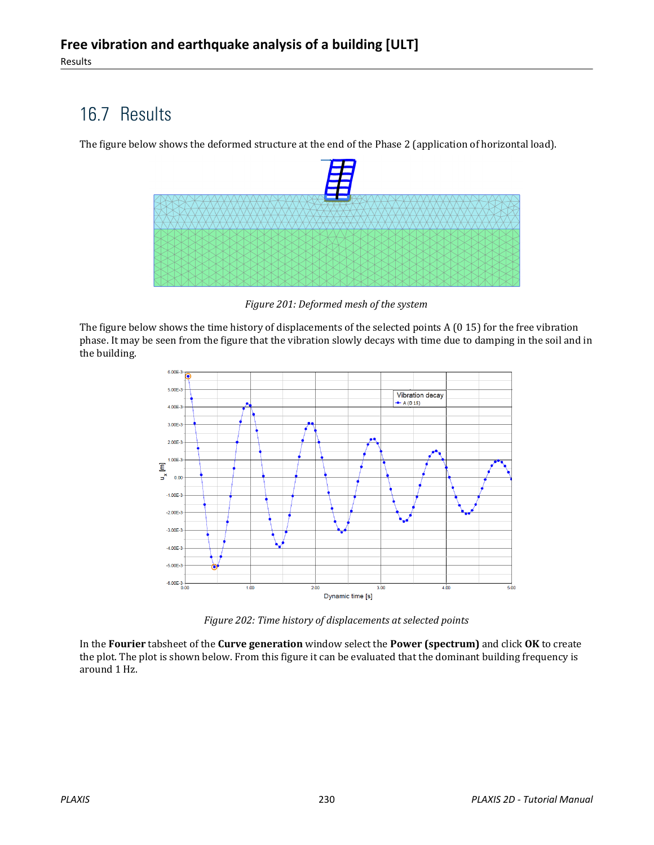# 16.7 Results

The figure below shows the deformed structure at the end of the Phase 2 (application of horizontal load).



*Figure 201: Deformed mesh of the system*

The figure below shows the time history of displacements of the selected points A (0 15) for the free vibration phase. It may be seen from the figure that the vibration slowly decays with time due to damping in the soil and in the building.



*Figure 202: Time history of displacements at selected points*

In the **Fourier** tabsheet of the **Curve generation** window select the **Power (spectrum)** and click **OK** to create the plot. The plot is shown below. From this figure it can be evaluated that the dominant building frequency is around 1 Hz.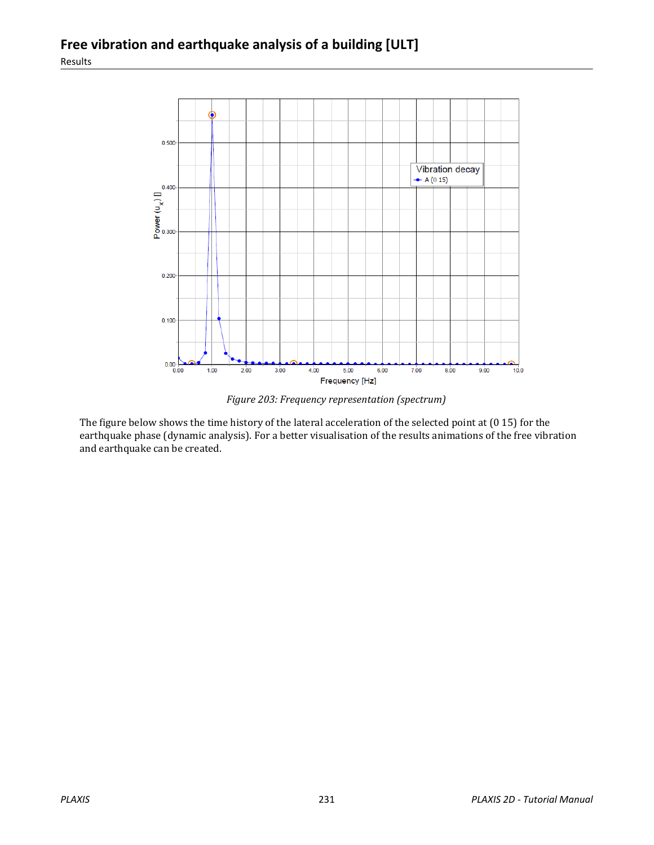

*Figure 203: Frequency representation (spectrum)*

The figure below shows the time history of the lateral acceleration of the selected point at (0 15) for the earthquake phase (dynamic analysis). For a better visualisation of the results animations of the free vibration and earthquake can be created.